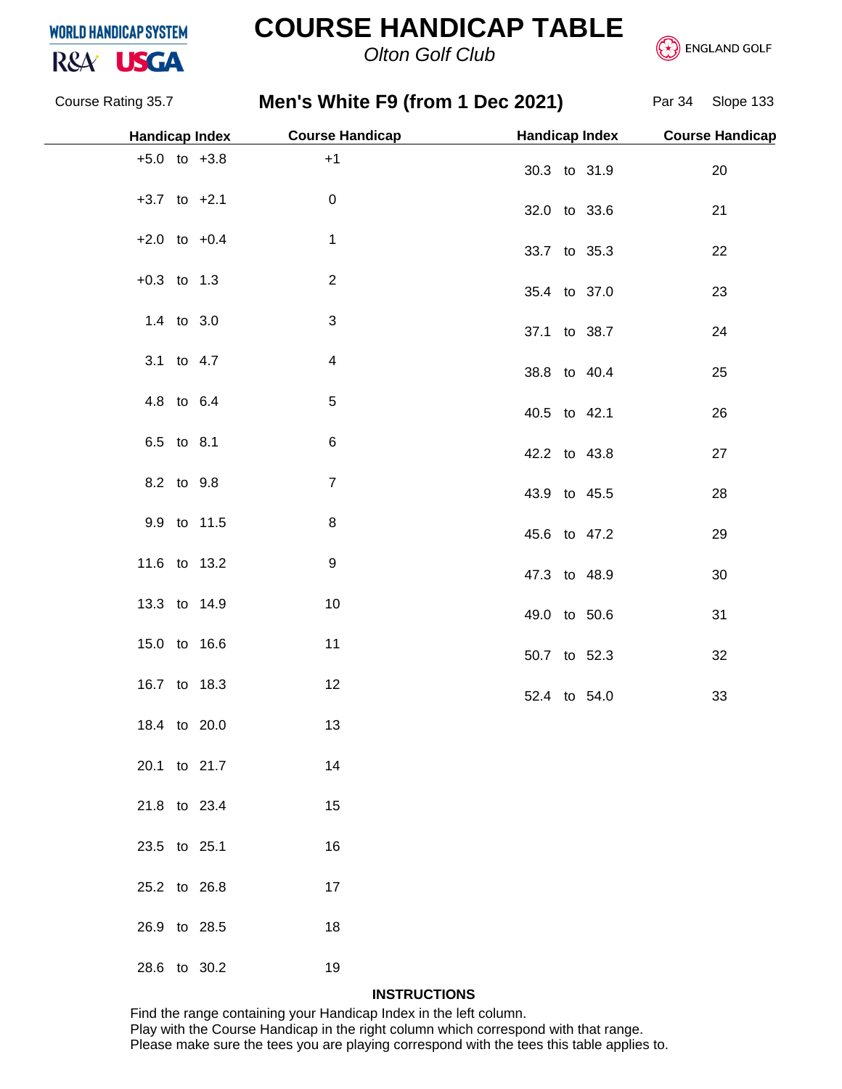

### **COURSE HANDICAP TABLE**





Course Rating 35.7 **Men's White F9 (from 1 Dec 2021)** Par 34 Slope 133 +5.0 to +3.8 +1  $+3.7$  to  $+2.1$  0  $+2.0$  to  $+0.4$  1 +0.3 to 1.3 2 1.4 to 3.0 3 3.1 to 4.7 4 4.8 to 6.4 5 6.5 to 8.1 6 8.2 to 9.8 7 9.9 to 11.5 8 11.6 to 13.2 9 13.3 to 14.9 10 15.0 to 16.6 11 16.7 to 18.3 12 18.4 to 20.0 13 20.1 to 21.7 14 21.8 to 23.4 15 23.5 to 25.1 16 25.2 to 26.8 17 26.9 to 28.5 18 28.6 to 30.2 19 30.3 to 31.9 20 32.0 to 33.6 21 33.7 to 35.3 22 35.4 to 37.0 23 37.1 to 38.7 24 38.8 to 40.4 25 40.5 to 42.1 26 42.2 to 43.8 27 43.9 to 45.5 28 45.6 to 47.2 29 47.3 to 48.9 30 49.0 to 50.6 31 50.7 to 52.3 32 52.4 to 54.0 33 **Handicap Index Course Handicap Handicap Index Course Handicap**

#### **INSTRUCTIONS**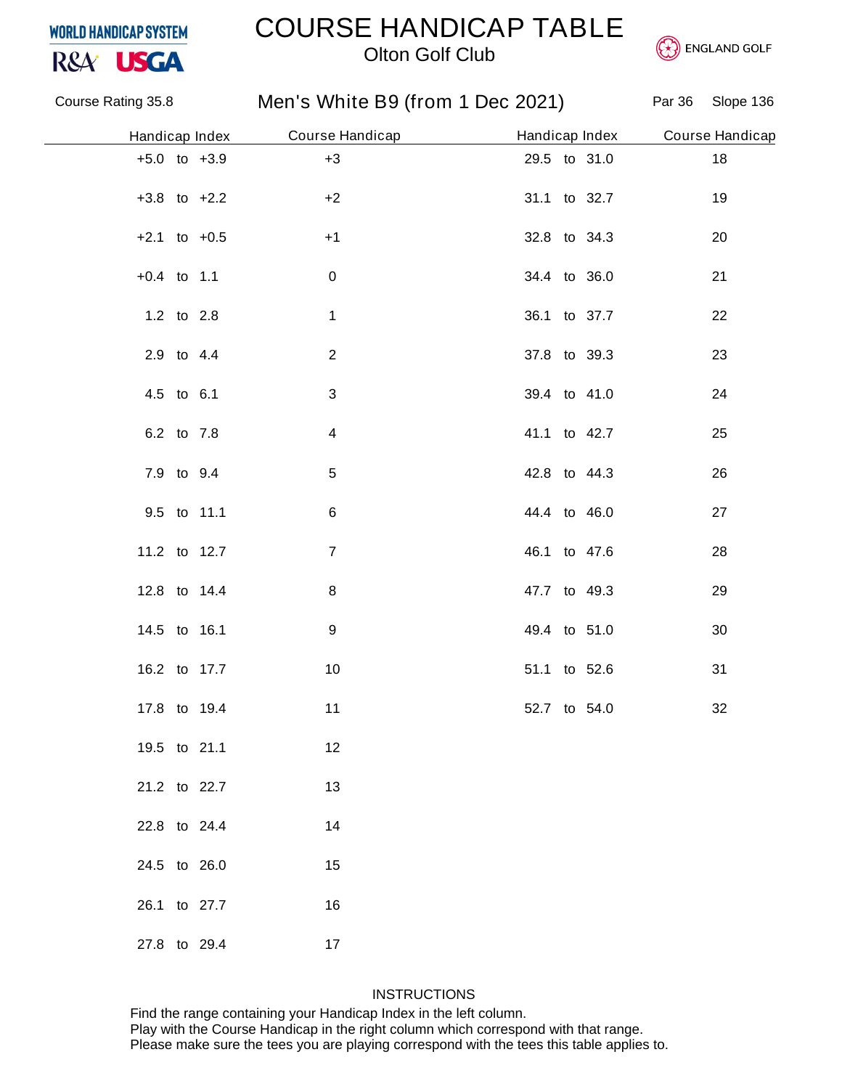### COURSE HANDICAP TABLE



### *Olton Golf Club*



|                  |                | Course Rating 35.8 Men's White B9 (from 1 Dec 2021) Par 36 Slope 136 |              |                                |      |
|------------------|----------------|----------------------------------------------------------------------|--------------|--------------------------------|------|
|                  | Handicap Index | Course Handicap                                                      |              | Handicap Index Course Handicap |      |
| $+5.0$ to $+3.9$ |                | $+3$                                                                 | 29.5 to 31.0 |                                | $18$ |
| $+3.8$ to $+2.2$ |                | $+2$                                                                 | 31.1 to 32.7 |                                | 19   |
| $+2.1$ to $+0.5$ |                | $+1$                                                                 | 32.8 to 34.3 |                                | 20   |
| $+0.4$ to 1.1    |                | $\pmb{0}$                                                            | 34.4 to 36.0 |                                | 21   |
| 1.2 to 2.8       |                | $\mathbf{1}$                                                         | 36.1 to 37.7 |                                | 22   |
| 2.9 to 4.4       |                | $\overline{2}$                                                       | 37.8 to 39.3 |                                | 23   |
| 4.5 to 6.1       |                | 3                                                                    | 39.4 to 41.0 |                                | 24   |
| 6.2 to 7.8       |                | 4                                                                    | 41.1 to 42.7 |                                | 25   |
| 7.9 to 9.4       |                | $\,$ 5 $\,$                                                          | 42.8 to 44.3 |                                | 26   |
|                  | 9.5 to 11.1    | 6                                                                    | 44.4 to 46.0 |                                | 27   |
| 11.2 to 12.7     |                | $\overline{7}$                                                       | 46.1 to 47.6 |                                | 28   |
| 12.8 to 14.4     |                | 8                                                                    | 47.7 to 49.3 |                                | 29   |
| 14.5 to 16.1     |                | 9                                                                    | 49.4 to 51.0 |                                | 30   |
| 16.2 to 17.7     |                | 10                                                                   | 51.1 to 52.6 |                                | 31   |
| 17.8 to 19.4     |                | 11                                                                   | 52.7 to 54.0 |                                | 32   |
| 19.5 to 21.1     |                | 12                                                                   |              |                                |      |
| 21.2 to 22.7     |                | 13                                                                   |              |                                |      |
| 22.8 to 24.4     |                | 14                                                                   |              |                                |      |
| 24.5 to 26.0     |                | 15                                                                   |              |                                |      |
| 26.1 to 27.7     |                | 16                                                                   |              |                                |      |
| 27.8 to 29.4     |                | 17                                                                   |              |                                |      |

### **INSTRUCTIONS**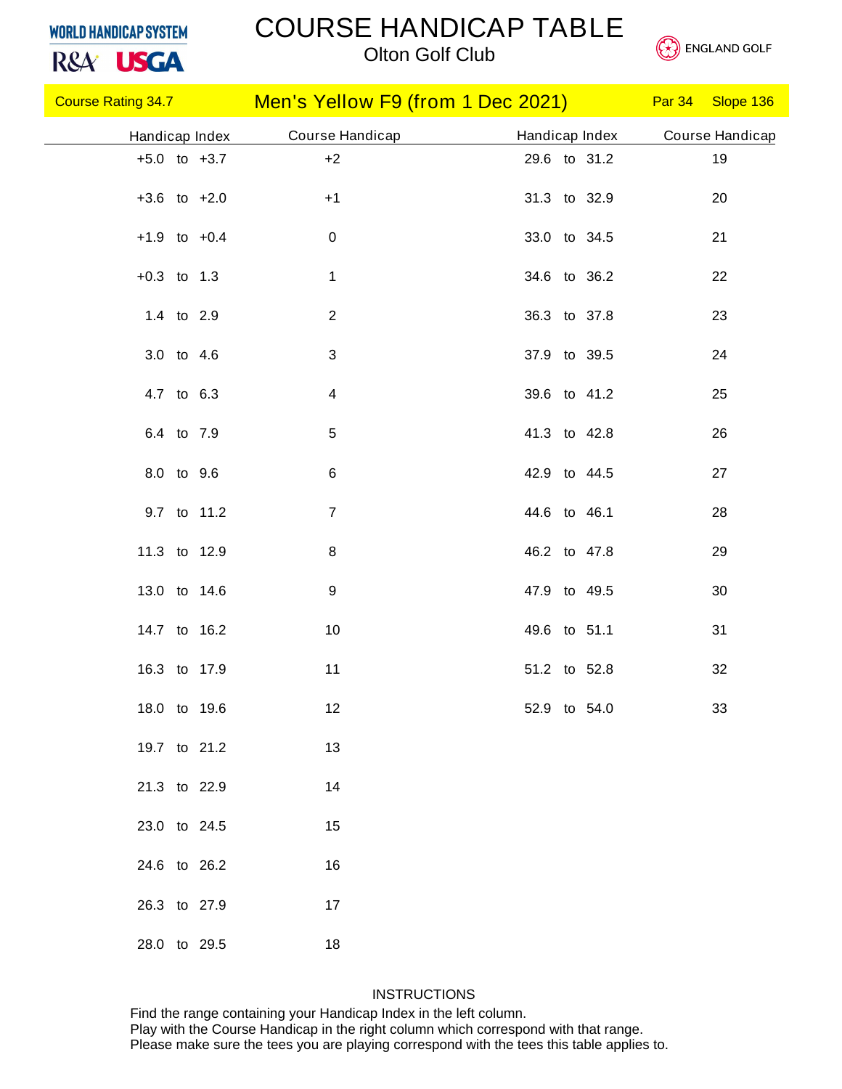# R&A<sup>'</sup> USGA

### COURSE HANDICAP TABLE

*Olton Golf Club*



| <b>Course Rating 34.7 Course Rating 34.7</b> |  |                 | Men's Yellow F9 (from 1 Dec 2021) Par 34 Slope 136 |                |  |                 |
|----------------------------------------------|--|-----------------|----------------------------------------------------|----------------|--|-----------------|
| Handicap Index                               |  | Course Handicap |                                                    | Handicap Index |  | Course Handicap |
| $+5.0$ to $+3.7$                             |  | $+2$            |                                                    | 29.6 to 31.2   |  | 19              |
| $+3.6$ to $+2.0$                             |  | $+1$            |                                                    | 31.3 to 32.9   |  | 20              |
| $+1.9$ to $+0.4$                             |  | $\mathbf 0$     |                                                    | 33.0 to 34.5   |  | 21              |
| $+0.3$ to 1.3                                |  | $\mathbf 1$     |                                                    | 34.6 to 36.2   |  | 22              |
| 1.4 to 2.9                                   |  | $\overline{2}$  |                                                    | 36.3 to 37.8   |  | 23              |
| 3.0 to 4.6                                   |  | $\mathfrak{S}$  |                                                    | 37.9 to 39.5   |  | 24              |
| 4.7 to 6.3                                   |  | 4               |                                                    | 39.6 to 41.2   |  | 25              |
| 6.4 to 7.9                                   |  | 5               |                                                    | 41.3 to 42.8   |  | 26              |
| 8.0 to 9.6                                   |  | 6               |                                                    | 42.9 to 44.5   |  | 27              |
| 9.7 to 11.2                                  |  | $\overline{7}$  |                                                    | 44.6 to 46.1   |  | 28              |
| 11.3 to 12.9                                 |  | 8               |                                                    | 46.2 to 47.8   |  | 29              |
| 13.0 to 14.6                                 |  | 9               |                                                    | 47.9 to 49.5   |  | 30              |
| 14.7 to 16.2                                 |  | 10              |                                                    | 49.6 to 51.1   |  | 31              |
| 16.3 to 17.9                                 |  | 11              |                                                    | 51.2 to 52.8   |  | 32              |
| 18.0 to 19.6                                 |  | 12              |                                                    | 52.9 to 54.0   |  | 33              |
| 19.7 to 21.2                                 |  | 13              |                                                    |                |  |                 |
| 21.3 to 22.9                                 |  | 14              |                                                    |                |  |                 |
| 23.0 to 24.5                                 |  | 15              |                                                    |                |  |                 |
| 24.6 to 26.2                                 |  | 16              |                                                    |                |  |                 |
| 26.3 to 27.9                                 |  | 17              |                                                    |                |  |                 |
| 28.0 to 29.5                                 |  | 18              |                                                    |                |  |                 |

### **INSTRUCTIONS**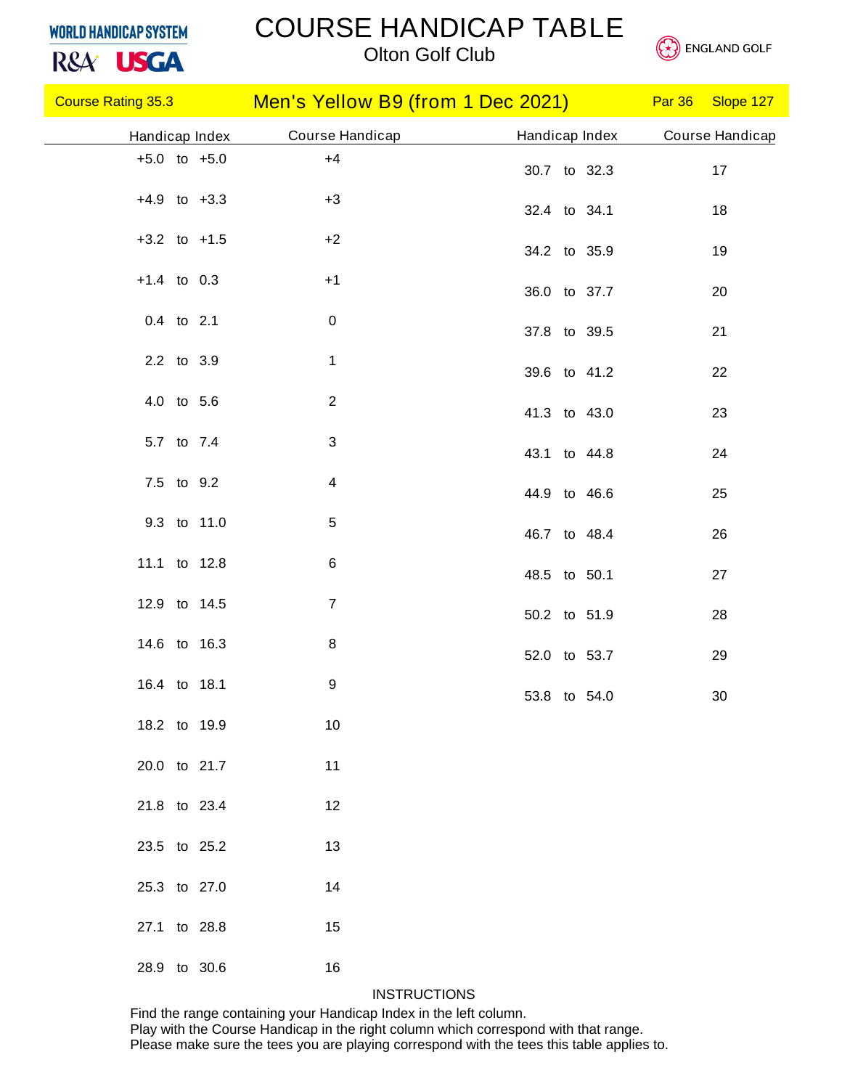# R&A<sup>'</sup> USGA

### COURSE HANDICAP TABLE





|                  |                  | Course Rating 35.3 Men's Yellow B9 (from 1 Dec 2021) Par 36 Slope 127 |                 |
|------------------|------------------|-----------------------------------------------------------------------|-----------------|
| Handicap Index   | Course Handicap  | Handicap Index                                                        | Course Handicap |
| $+5.0$ to $+5.0$ | $+4$             | 30.7 to 32.3                                                          | 17              |
| $+4.9$ to $+3.3$ | $+3$             | 32.4 to 34.1                                                          | 18              |
| $+3.2$ to $+1.5$ | $+2$             | 34.2 to 35.9                                                          | 19              |
| $+1.4$ to 0.3    | $+1$             | 36.0 to 37.7                                                          | 20              |
| 0.4 to 2.1       | $\pmb{0}$        | 37.8 to 39.5                                                          | 21              |
| 2.2 to 3.9       | $\mathbf{1}$     | 39.6 to 41.2                                                          | 22              |
| 4.0 to 5.6       | $\overline{c}$   | 41.3 to 43.0                                                          | 23              |
| 5.7 to 7.4       | $\mathbf{3}$     | 43.1 to 44.8                                                          | 24              |
| 7.5 to 9.2       | 4                | 44.9 to 46.6                                                          | 25              |
| 9.3 to 11.0      | $\sqrt{5}$       | 46.7 to 48.4                                                          | 26              |
| 11.1 to 12.8     | $\,6$            | 48.5 to 50.1                                                          | 27              |
| 12.9 to 14.5     | $\overline{7}$   | 50.2 to 51.9                                                          | 28              |
| 14.6 to 16.3     | $\,8\,$          | 52.0 to 53.7                                                          | 29              |
| 16.4 to 18.1     | $\boldsymbol{9}$ |                                                                       | $30\,$          |
| 18.2 to 19.9     | 10               | 53.8 to 54.0                                                          |                 |
| 20.0 to 21.7     | 11               |                                                                       |                 |
| 21.8 to 23.4     | 12               |                                                                       |                 |
| 23.5 to 25.2     | 13               |                                                                       |                 |
| 25.3 to 27.0     | 14               |                                                                       |                 |
|                  |                  |                                                                       |                 |
| 27.1 to 28.8     | 15               |                                                                       |                 |
| 28.9 to 30.6     | 16               |                                                                       |                 |

#### **INSTRUCTIONS**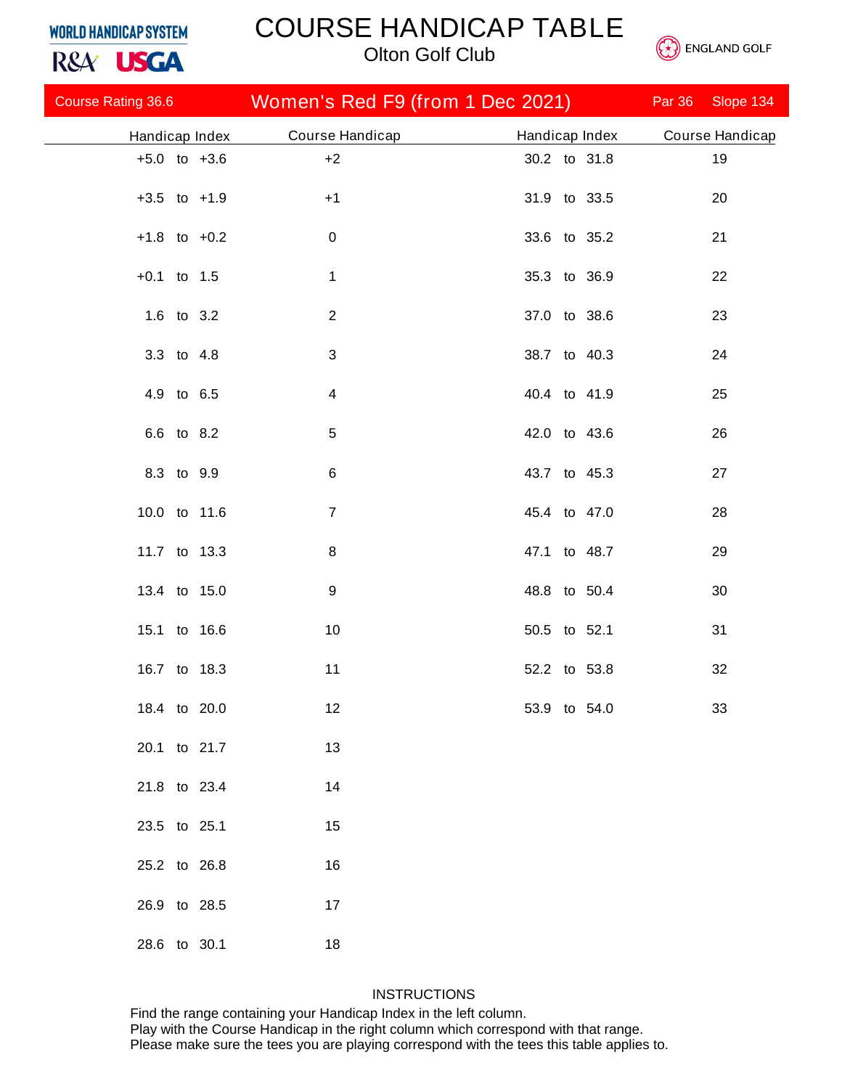### COURSE HANDICAP TABLE

*Olton Golf Club*



| R&A <sup>.</sup> USGA     |  |                 | <b>Olton Golf Club</b>           |  |                |               | <b>ENGLAND GULF</b> |
|---------------------------|--|-----------------|----------------------------------|--|----------------|---------------|---------------------|
| <b>Course Rating 36.6</b> |  |                 | Women's Red F9 (from 1 Dec 2021) |  |                | <b>Par 36</b> | Slope 134           |
| Handicap Index            |  | Course Handicap |                                  |  | Handicap Index |               | Course Handicap     |
| $+5.0$ to $+3.6$          |  | $+2$            |                                  |  | 30.2 to 31.8   |               | 19                  |
| $+3.5$ to $+1.9$          |  | $+1$            |                                  |  | 31.9 to 33.5   |               | 20                  |
| $+1.8$ to $+0.2$          |  | $\mathbf 0$     |                                  |  | 33.6 to 35.2   |               | 21                  |
| $+0.1$ to 1.5             |  | $\mathbf 1$     |                                  |  | 35.3 to 36.9   |               | 22                  |
| 1.6 to 3.2                |  | $\overline{2}$  |                                  |  | 37.0 to 38.6   |               | 23                  |
| 3.3 to 4.8                |  | 3               |                                  |  | 38.7 to 40.3   |               | 24                  |
| 4.9 to 6.5                |  | 4               |                                  |  | 40.4 to 41.9   |               | 25                  |
| 6.6 to 8.2                |  | $\,$ 5 $\,$     |                                  |  | 42.0 to 43.6   |               | 26                  |
| 8.3 to 9.9                |  | 6               |                                  |  | 43.7 to 45.3   |               | 27                  |
| 10.0 to 11.6              |  | $\overline{7}$  |                                  |  | 45.4 to 47.0   |               | 28                  |
| 11.7 to 13.3              |  | 8               |                                  |  | 47.1 to 48.7   |               | 29                  |
| 13.4 to 15.0              |  | 9               |                                  |  | 48.8 to 50.4   |               | 30                  |
| 15.1 to 16.6              |  | 10              |                                  |  | 50.5 to 52.1   |               | 31                  |
| 16.7 to 18.3              |  | 11              |                                  |  | 52.2 to 53.8   |               | 32                  |
| 18.4 to 20.0              |  | 12              |                                  |  | 53.9 to 54.0   |               | 33                  |
| 20.1 to 21.7              |  | 13              |                                  |  |                |               |                     |
| 21.8 to 23.4              |  | 14              |                                  |  |                |               |                     |
| 23.5 to 25.1              |  | 15              |                                  |  |                |               |                     |
| 25.2 to 26.8              |  | 16              |                                  |  |                |               |                     |
| 26.9 to 28.5              |  | 17              |                                  |  |                |               |                     |
| 28.6 to 30.1              |  | 18              |                                  |  |                |               |                     |

### **INSTRUCTIONS**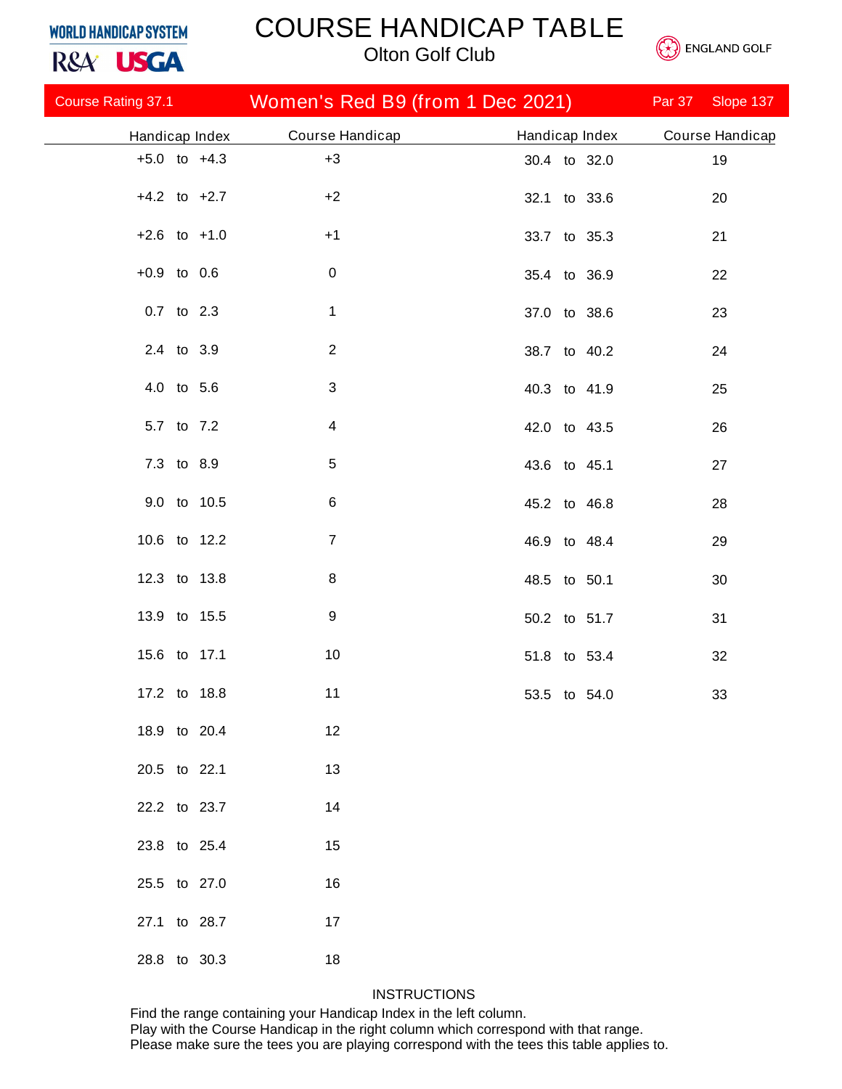R&A<sup>'</sup> USGA

# COURSE HANDICAP TABLE



*Olton Golf Club*

| <b>Course Rating 37.1 Course Rating 37.1</b> | Women's Red B9 (from 1 Dec 2021) |                | Par 37<br>Slope 137 |
|----------------------------------------------|----------------------------------|----------------|---------------------|
| Handicap Index                               | Course Handicap                  | Handicap Index | Course Handicap     |
| $+5.0$ to $+4.3$                             | $+3$                             | 30.4 to 32.0   | 19                  |
| $+4.2$ to $+2.7$                             | $+2$                             | 32.1 to 33.6   | 20                  |
| $+2.6$ to $+1.0$                             | $+1$                             | 33.7 to 35.3   | 21                  |
| $+0.9$ to 0.6                                | $\pmb{0}$                        | 35.4 to 36.9   | 22                  |
| 0.7 to 2.3                                   | $\mathbf 1$                      | 37.0 to 38.6   | 23                  |
| 2.4 to 3.9                                   | $\overline{2}$                   | 38.7 to 40.2   | 24                  |
| 4.0 to 5.6                                   | $\mathbf{3}$                     | 40.3 to 41.9   | 25                  |
| 5.7 to 7.2                                   | 4                                | 42.0 to 43.5   | 26                  |
| 7.3 to 8.9                                   | $\,$ 5 $\,$                      | 43.6 to 45.1   | 27                  |
| 9.0 to 10.5                                  | $\,6$                            | 45.2 to 46.8   | 28                  |
| 10.6 to 12.2                                 | $\overline{7}$                   | 46.9 to 48.4   | 29                  |
| 12.3 to 13.8                                 | 8                                | 48.5 to 50.1   | 30                  |
| 13.9 to 15.5                                 | $\boldsymbol{9}$                 | 50.2 to 51.7   | 31                  |
| 15.6 to 17.1                                 | 10                               | 51.8 to 53.4   | 32                  |
| 17.2 to 18.8                                 | 11                               | 53.5 to 54.0   | 33                  |
| 18.9 to 20.4                                 | 12                               |                |                     |
| 20.5 to 22.1                                 | 13                               |                |                     |
| 22.2 to 23.7                                 | 14                               |                |                     |
| 23.8 to 25.4                                 | 15                               |                |                     |
| 25.5 to 27.0                                 | 16                               |                |                     |
| 27.1 to 28.7                                 | 17                               |                |                     |
| 28.8 to 30.3                                 | 18                               |                |                     |

### **INSTRUCTIONS**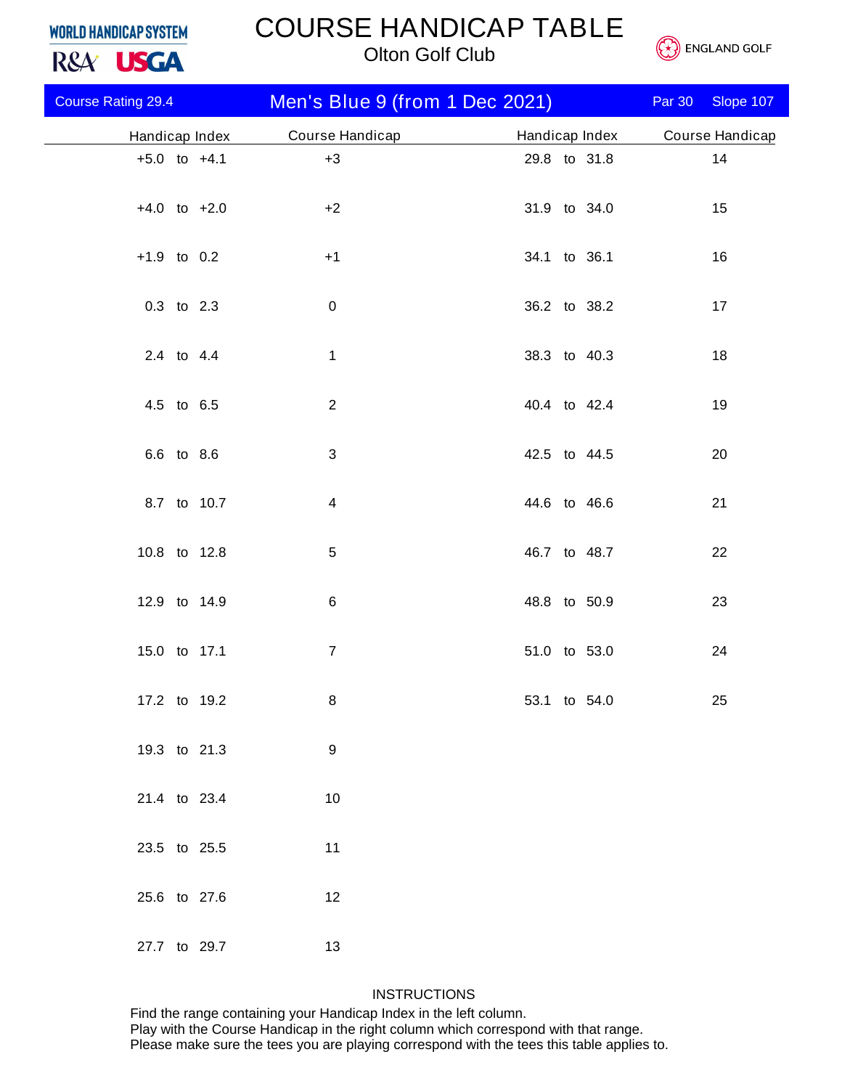# COURSE HANDICAP TABLE

*Olton Golf Club*



| R&A <sup>USGA</sup> |                           |  |                  | <b>Olton Golf Club</b>         | <b>ENGLAND GOLF</b> |  |               |                 |
|---------------------|---------------------------|--|------------------|--------------------------------|---------------------|--|---------------|-----------------|
|                     | <b>Course Rating 29.4</b> |  |                  | Men's Blue 9 (from 1 Dec 2021) |                     |  | <b>Par 30</b> | Slope 107       |
|                     | Handicap Index            |  |                  | Course Handicap                | Handicap Index      |  |               | Course Handicap |
|                     |                           |  | $+5.0$ to $+4.1$ | $+3$                           | 29.8 to 31.8        |  |               | 14              |
|                     |                           |  | $+4.0$ to $+2.0$ | $+2$                           | 31.9 to 34.0        |  |               | 15              |
|                     | $+1.9$ to 0.2             |  |                  | $+1$                           | 34.1 to 36.1        |  |               | 16              |
|                     |                           |  | 0.3 to 2.3       | $\pmb{0}$                      | 36.2 to 38.2        |  |               | 17              |
|                     |                           |  | 2.4 to 4.4       | $\mathbf 1$                    | 38.3 to 40.3        |  |               | 18              |
|                     |                           |  | 4.5 to 6.5       | $\overline{2}$                 | 40.4 to 42.4        |  |               | 19              |
|                     |                           |  | 6.6 to 8.6       | $\mathbf{3}$                   | 42.5 to 44.5        |  |               | 20              |
|                     |                           |  | 8.7 to 10.7      | $\overline{4}$                 | 44.6 to 46.6        |  |               | 21              |
|                     |                           |  | 10.8 to 12.8     | $\,$ 5 $\,$                    | 46.7 to 48.7        |  |               | 22              |
|                     |                           |  | 12.9 to 14.9     | 6                              | 48.8 to 50.9        |  |               | 23              |
|                     |                           |  | 15.0 to 17.1     | $\overline{7}$                 | 51.0 to 53.0        |  |               | 24              |
|                     |                           |  | 17.2 to 19.2     | 8                              | 53.1 to 54.0        |  |               | 25              |
|                     |                           |  | 19.3 to 21.3     | 9                              |                     |  |               |                 |
|                     |                           |  | 21.4 to 23.4     | 10                             |                     |  |               |                 |
|                     |                           |  | 23.5 to 25.5     | 11                             |                     |  |               |                 |
|                     |                           |  | 25.6 to 27.6     | 12                             |                     |  |               |                 |
|                     |                           |  | 27.7 to 29.7     | 13                             |                     |  |               |                 |

#### **INSTRUCTIONS**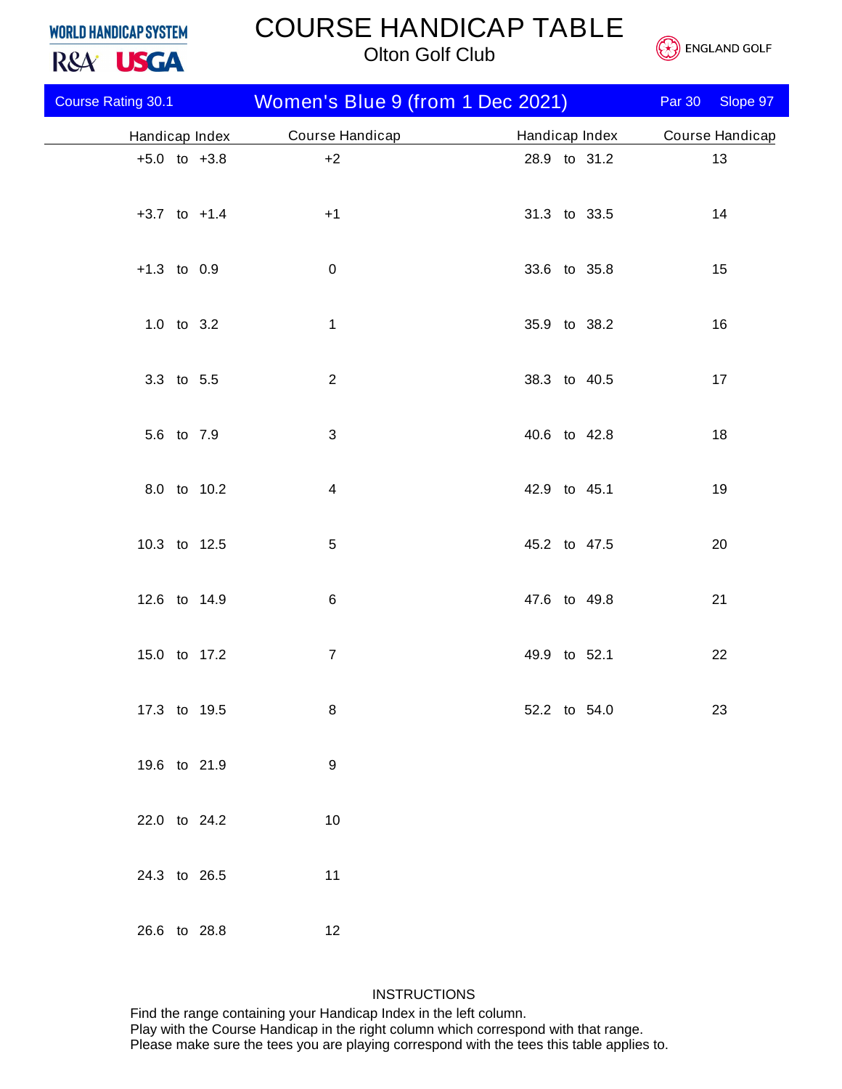# COURSE HANDICAP TABLE





| R&A <sup>USGA</sup> |                           | <b>Olton Golf Club</b> |                                  |  |                |  | <b>ENGLAND GOLF</b> |               |                 |
|---------------------|---------------------------|------------------------|----------------------------------|--|----------------|--|---------------------|---------------|-----------------|
|                     | <b>Course Rating 30.1</b> |                        | Women's Blue 9 (from 1 Dec 2021) |  |                |  |                     | <b>Par 30</b> | Slope 97        |
|                     | Handicap Index            |                        | Course Handicap                  |  | Handicap Index |  |                     |               | Course Handicap |
|                     | $+5.0$ to $+3.8$          |                        | $+2$                             |  |                |  | 28.9 to 31.2        |               | 13              |
|                     | $+3.7$ to $+1.4$          |                        | $+1$                             |  | 31.3 to 33.5   |  |                     |               | 14              |
|                     | $+1.3$ to 0.9             |                        | $\pmb{0}$                        |  | 33.6 to 35.8   |  |                     |               | 15              |
|                     | 1.0 to 3.2                |                        | $\mathbf{1}$                     |  | 35.9 to 38.2   |  |                     |               | 16              |
|                     | 3.3 to 5.5                |                        | $\sqrt{2}$                       |  | 38.3 to 40.5   |  |                     |               | 17              |
|                     | 5.6 to 7.9                |                        | $\mathfrak{B}$                   |  | 40.6 to 42.8   |  |                     |               | 18              |
|                     |                           | 8.0 to 10.2            | 4                                |  | 42.9 to 45.1   |  |                     |               | 19              |
|                     | 10.3 to 12.5              |                        | $\mathbf 5$                      |  | 45.2 to 47.5   |  |                     |               | 20              |
|                     | 12.6 to 14.9              |                        | $\,6$                            |  | 47.6 to 49.8   |  |                     |               | 21              |
|                     | 15.0 to 17.2              |                        | $\overline{7}$                   |  | 49.9 to 52.1   |  |                     |               | 22              |
|                     | 17.3 to 19.5              |                        | 8                                |  | 52.2 to 54.0   |  |                     |               | 23              |
|                     | 19.6 to 21.9              |                        | 9                                |  |                |  |                     |               |                 |
|                     | 22.0 to 24.2              |                        | $10$                             |  |                |  |                     |               |                 |
|                     | 24.3 to 26.5              |                        | 11                               |  |                |  |                     |               |                 |
|                     | 26.6 to 28.8              |                        | 12                               |  |                |  |                     |               |                 |

### **INSTRUCTIONS**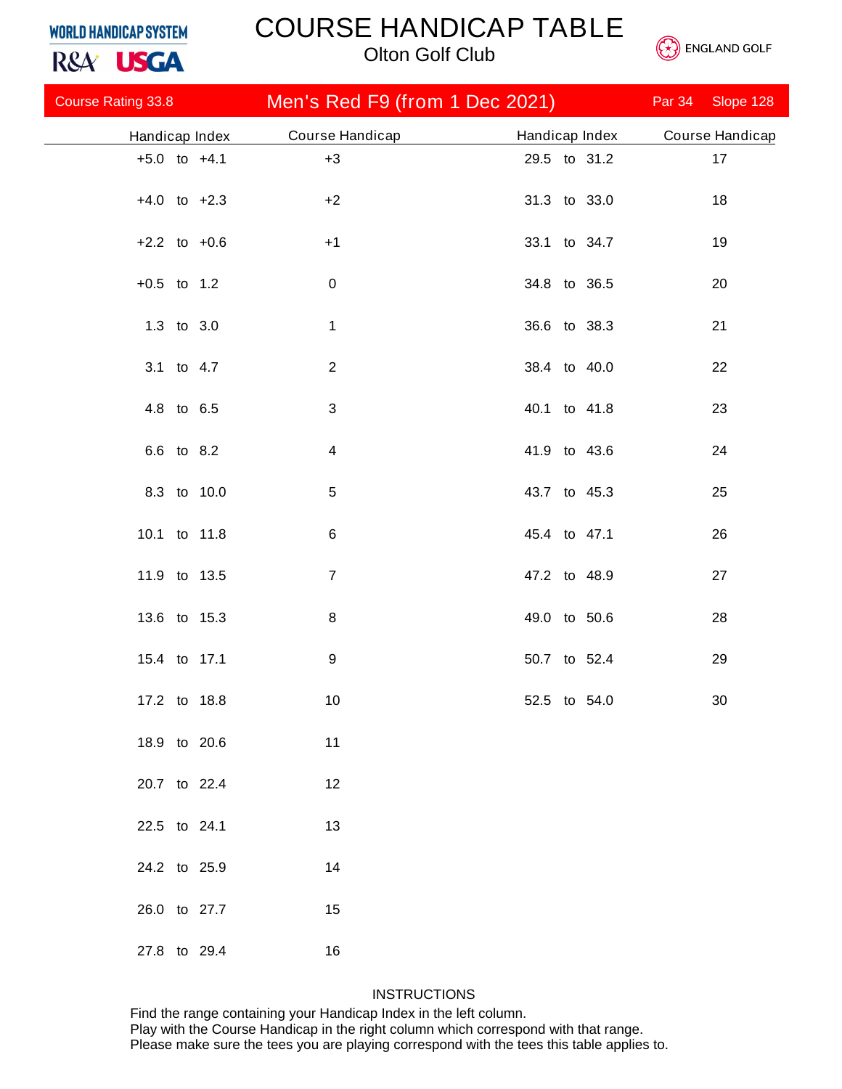# COURSE HANDICAP TABLE

*Olton Golf Club*



| R&A <sup>'</sup> USGA     |                  |                 | <b>Olton Golf Club</b>         |              |                |        | <b>ENGLAND GOLF</b> |
|---------------------------|------------------|-----------------|--------------------------------|--------------|----------------|--------|---------------------|
| <b>Course Rating 33.8</b> |                  |                 | Men's Red F9 (from 1 Dec 2021) |              |                | Par 34 | Slope 128           |
| Handicap Index            |                  | Course Handicap |                                |              | Handicap Index |        | Course Handicap     |
|                           | $+5.0$ to $+4.1$ | $+3$            |                                | 29.5 to 31.2 |                |        | 17                  |
|                           | $+4.0$ to $+2.3$ | $+2$            |                                | 31.3 to 33.0 |                |        | 18                  |
|                           | $+2.2$ to $+0.6$ | $+1$            |                                | 33.1 to 34.7 |                |        | 19                  |
| $+0.5$ to 1.2             |                  | $\pmb{0}$       |                                | 34.8 to 36.5 |                |        | 20                  |
|                           | 1.3 to 3.0       | $\mathbf{1}$    |                                | 36.6 to 38.3 |                |        | 21                  |
|                           | 3.1 to 4.7       | $\mathbf{2}$    |                                | 38.4 to 40.0 |                |        | 22                  |
|                           | 4.8 to 6.5       | $\mathfrak{S}$  |                                | 40.1 to 41.8 |                |        | 23                  |
|                           | 6.6 to 8.2       | $\overline{4}$  |                                | 41.9 to 43.6 |                |        | 24                  |
|                           | 8.3 to 10.0      | 5               |                                | 43.7 to 45.3 |                |        | 25                  |
|                           | 10.1 to 11.8     | 6               |                                | 45.4 to 47.1 |                |        | 26                  |
|                           | 11.9 to 13.5     | $\overline{7}$  |                                | 47.2 to 48.9 |                |        | 27                  |
|                           | 13.6 to 15.3     | $\bf 8$         |                                | 49.0 to 50.6 |                |        | 28                  |
|                           | 15.4 to 17.1     | 9               |                                | 50.7 to 52.4 |                |        | 29                  |
|                           | 17.2 to 18.8     | 10              |                                | 52.5 to 54.0 |                |        | 30                  |
|                           | 18.9 to 20.6     | 11              |                                |              |                |        |                     |
|                           | 20.7 to 22.4     | 12              |                                |              |                |        |                     |
| 22.5 to 24.1              |                  | 13              |                                |              |                |        |                     |
|                           | 24.2 to 25.9     | 14              |                                |              |                |        |                     |
|                           | 26.0 to 27.7     | 15              |                                |              |                |        |                     |
|                           | 27.8 to 29.4     | 16              |                                |              |                |        |                     |

### **INSTRUCTIONS**